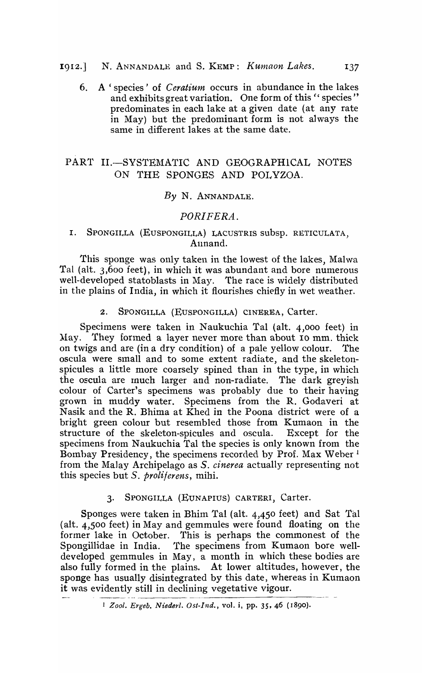# 1912.] N. ANNANDALE and S. KEMP: *Kumaon Lakes.* 137

6. A' species' of *Ceratium* occurs in abundance in the lakes and exhibits great variation. One form of this " species" predominates in each lake at a given date (at any rate in May) but the predominant form is not always the same in different lakes at the same date.

# PART II.-SYSTEMATIC AND GEOGRAPHICAL NOTES ON THE SPONGES AND POLYZOA.

## *By* N. ANNANDALE.

# *PORIFERA.*

## I. SPONGILLA (EUSPONGILLA) LACUSTRIS subsp. RETICULATA, Annand.

This sponge was only taken in the lowest of the lakes, Malwa Tal (alt. 3,600 feet), in which it was abundant and bore numerous well-developed statoblasts in May. The race is widely distributed in the plains of India, in which it flourishes chiefly in wet weather.

## 2. SPONGILLA (EUSPONGILLA) CINEREA, Carter.

Specimens were taken in Naukuchia Tal (alt. 4,000 feet) in May. They formed a layer never more than about 10 mm, thick on twigs and are (in a dry condition) of a pale yellow colour. The oscula were small and to some extent radiate, and the skeletonspicules a little more coarsely spined than in the type, in which the oscula are rnuch larger and non-radiate. The dark greyish colour of Carter's specimens was probably due to their having grown in muddy water. Specimens from the R. Godaveri at Nasik and the R. Bhima at Khed in the Poona district were of a bright green colour but resembled those from Kumaon in the structure of the skeleton-spicules and oscula. Except for the specimens from Naukuchia Tal the species is only known from the Bombay Presidency, the specimens recorded by Prof. Max Weber <sup>1</sup> from the Malay Archipelago as S. *cinerea* actually representing not this species but *S. proliferens,* mihi.

# 3. SPONGILLA (EUNAPIUS) CARTERI, Carter.

Sponges were taken in Bhim Tal (alt. 4,450 feet) and Sat Tal (alt. 4,500 feet) in May and gemmules were found floating on the former lake in October. This is perhaps the commonest of the Spongillidae in India. The specimens from Kumaon bore welldeveloped gemmules in May, a month in which these bodies are also fully formed in the plains. At lower altitudes, however, the sponge has usually disintegrated by this date, whereas in Kumaon it was evidently still in declining vegetative vigour. ------- ---- <sup>1</sup>*Zool. Ergeb. Niederl. Ost-I-nd.,* voL i, pp. 35, 46 ( <sup>1890</sup> ).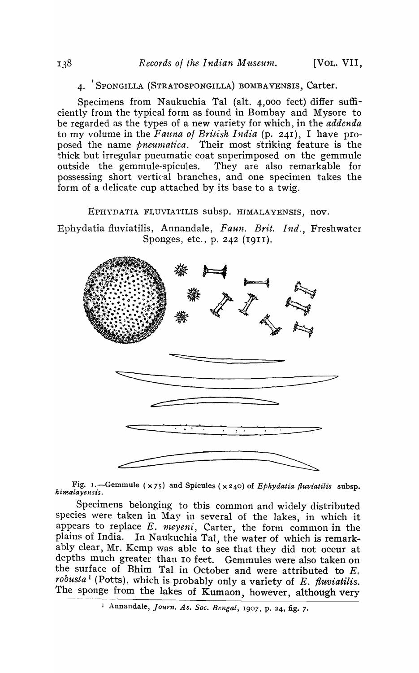## 4. SPONGILLA (STRATOSPONGILLA) BOMBAYENSIS, Carter.

Specimens from Naukuchia Tal (alt. 4,000 feet) differ sufficiently from the typical form as found in Bombay and Mysore to be regarded as the types of a new variety for which, in the *addenda*  to my volume in the *Fauna* of *British India* (p. 241), I have proposed the name *pneumatica.* Their most striking feature is the thick but irregular pneumatic coat superimposed on the gemmule outside the gemmule-spicules. They are also remarkable for possessing short vertical branches, and one specimen takes the form of a delicate cup attached by its base to a twig.

EPHYDATIA FLUVIATILIS subsp. HIMALAYENSIS, nov.

Ephydatia fiuviatilis, Annandale , *Faun. Brit. Ind.,* Freshwater Sponges, etc., p. 242 (1911).



Fig. 1. - Gemmule (x75) and Spicules (x240) of *Ephydatia fluviatilis* subsp. *himalayensis*.

Specimens belonging to this common and widely distributed species were taken in May in several of the lakes, in which it appears to replace  $E$ .  $meyeni$ , Carter, the form common in the plains of India. In Naukuchia Tal, the water of which is remarkably clear, Mr. Kemp was able to see that they did not occur at depths much greater than 10 feet. Gemmules were also taken on the surface of Bhim Tal in October and were attributed to  $E$ . *robusta* 1 (Potts), which is probably only a variety of *E. fiuviatilis.*  The sponge from the lakes of Kumaon, however, although very

j Annandale, *Journ. As. Soc. Bengal,* 1907, p. 24, fig. 7.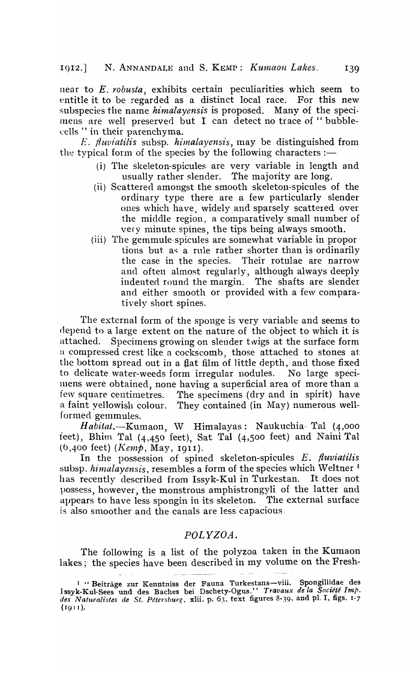near to *E. robusta,* exhibits certain peculiarities which seem to entitle it to be regarded as a distinct local race. For this new subspecies the name *himalayensis* is proposed. Many of the speci-Inens are well preserved but I can detect no trace of " bubblecells" in their parenchyma.

*E. fluviatilis* subsp. *himalayensis*, may be distinguished from the typical form of the species by the following characters :-

- (i) The skeleton-spicules are very variable in length and usually rather slender. The majority are long.
- (ii) Scattered amongst the smooth skeleton-spicules of the ordinary type there are a few particularly slender ones which have, widely and sparsely scattered over the middle region, a comparatively small number of very minute spines, the tips being always smooth.
- (iii) The gemmule-spicules are somewhat variable in propor tions but as a rule rather shorter than is ordinarily the case in the species. Their rotulae are narrow Their rotulae are narrow and often almost regularly, although always deeply indented round the margin. The shafts are slender and either smooth or provided with a few comparatively short spines.

The external form of the sponge is very variable and seems to depend to a large extent on the nature of the object to which it is attached. Specimens growing on slender twigs at the surface form a compressed crest like a cockscomb, those attached to stones at the bottom spread out in a flat film of little depth, and those fixed to delicate water-weeds form irregular nodules. No large specimens were obtained, none having a superficial area of more than a few square centimetres. The specimens (dry and in spirit) have a faint yellowish colour. They contained (in May) numerous wellformed gemmules.

Habitat.-Kumaon, W Himalayas: Naukuchia- Tal (4,000 feet), Bhim Tal  $(4,450$  feet), Sat Tal  $(4,500$  feet) and Naini Tal (b,400 feet) *(I(e1np,* May, 1911).

In the possession of spined skeleton-spicules *E. fiuviatilis*  subsp. himalayensis, resembles a form of the species which Weltner<sup>1</sup> has recently described from Issyk-Kul in Turkestan. It does not possess, however, the monstrous amphistrongyli of the latter and appears to have less spongin in its skeleton. The external surface is also smoother and the canals are less capacious.

# *POLYZOA.*

The following is a list of the polyzoa taken in the Kumaon lakes; the species have been described in my volume on the Fresh-

<sup>&</sup>lt;sup>1</sup> "Beiträge zur Kenntniss der Fauna Turkestans-viii. Spongillidae des Issyk-Kul-Sees und des Baches bei Dschety-Ogus." *Travaux de la Société Imp.* des Naturalistes de St. Pétersburg, xlii. p. 63, text figures 8-39, and pl. I, figs. 1-7  $(1911).$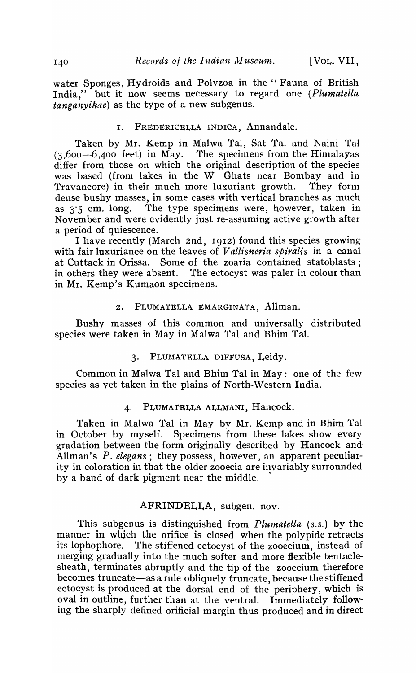water Sponges, Hydroids and Polyzoa in the "Fauna of British India," but it now seems necessary to regard one *(Plumatella tanganyikae)* as the type of a new subgenus.

#### I. FREDERICELLA INDICA, Annandale.

Taken by Mr. Kemp in Malwa Tal, Sat Tal and Naini Tal  $(3,600-6,400$  feet) in May. The specimens from the Himalayas differ from those on which the original description of the species was based (from lakes in the W Ghats near Bombay and in Travancore) in their much more luxuriant growth. They form dense bushy masses, in some cases with vertical branches as much as  $3.5$  cm. long. The type specimens were, however, taken in November and were evidently just re-assuming active growth after a period of quiescence.

I have recently (March 2nd, 1912) found this species growing with fair luxuriance on the leaves of *Vallisneria spiralis* in a canal at Cuttack in Orissa. Some of the zoaria contained statoblasts; in others they were absent. "fhe ectocyst was paler in colour than in Mr. Kemp's Kumaon specimens.

#### 2. PLUMATELLA EMARGINATA, Allman.

Bushy masses of this common and universally distributed species were taken in May in Malwa Tal and Bhim Tal.

## 3. PLUMATELLA DIFFUSA, Leidy.

Common in Malwa Tal and Bhim Tal in May: one of the fe\v species as yet taken in the plains of North-Western India.

#### 4. PLUMATELLA ALLMANI, Hancock.

Taken in Malwa Tal in May by Mr. Kemp and in Bhim Tal in October by myself. Specimens from these lakes show every gradation between the form originally described by Hancock and Allman's P. elegans; they possess, however, an apparent peculiarity in coloration in that the older zooecia are invariably surrounded by a band of dark pigment near the middle. .

## AFRINDELLA, subgen. nov.

This subgenus is distinguished from *Plumatella* (s.s.) by the manner in which the orifice is closed when the polypide retracts<br>its lophophore. The stiffened ectocyst of the zooecium, instead of The stiffened ectocyst of the zooecium, instead of merging gradually into the much softer and more flexible tentaclesheath, terminates abruptly and the tip of the zooecium therefore becomes truncate-as a rule obliquely truncate, because the stiffened ectocyst is produced at the dorsal end of the periphery, which is oval in outline, further than at the ventral. Immediately following the sharply defined orificial margin thus produced and in direct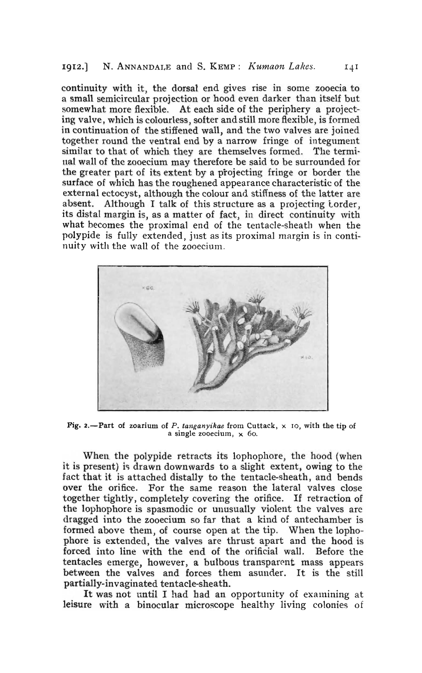## 1912.] N. ANNANDALE and S. KEMP: *Kumaon Lakes.* 141

continuity with it, the dorsal end gives rise in some zooecia to a small semicircular projection or hood even darker than itself but somewhat more flexible. At each side of the periphery a projecting valve, which is colourless, softer and still more flexible, is formed in continuation of the stiffened wall, and the two valves are joined together round the ventral end by a narrow fringe of integument similar to that of which they are themselves formed. The termiual wall of the zooecium may therefore be said to be surrounded for the greater part of its extent by a projecting fringe or border the surface of which has the roughened appearance characteristic of the external ectocyst, although the colour and stiffness of the latter are absent. Although I talk of this structure as a projecting torder, its distal margin is, as a matter of fact, in direct continuity with what becomes the proximal end of the tentacle-sheath when the polypide is fully extended, just as its proximal margin is in continuity with the wall of the zooecium.



Pig. 2.-Part of zoarium of *P. tanganyikae* from Cuttack,  $\times$  10, with the tip of a single zooecium,  $\times$  60.

When the polypide retracts its lophophore, the hood (when it is present) is drawn downwards to a slight extent, owing to the fact that it is attached distally to the tentacle-sheath, and bends over the orifice. For the same reason the lateral valves close together tightly, completely covering the orifice. If retraction of the lophophore is spasmodic or unusually violent the valves are dragged into the zooecium so far that a kind of antechamber is formed above them, of course open at the tip. When the lophophore is extended, the valves are thrust apart and the hood is forced into line with the end of the orificial wall. Before the tentacles emerge, however, a bulbous transparent mass appears between the valves and forces them asunder. It is the still partially-invaginated tentacle-sheath.

It was not until I had had an opportunity of examining at leisure with a binocular microscope healthy living colonies of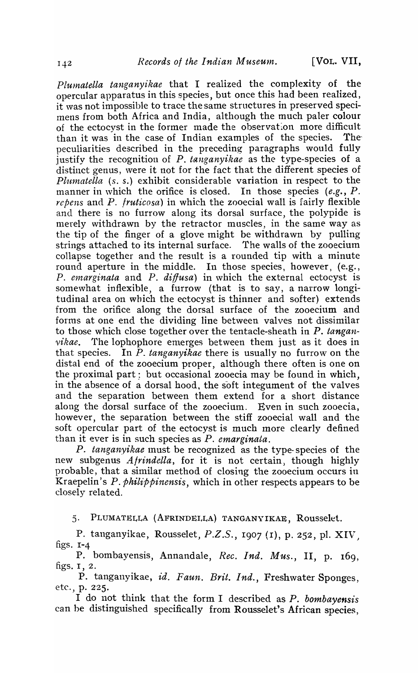*PIUlnatella tanganyikae* that I realized the complexity of the opercular apparatus in this species, but once this had been realized, it was not impossible to trace the same structures in preserved specimens from both Africa and India, although the much paler colour of the ectocyst in the former made the observation more difficult than it was in the case of Indian examples of the species. The peculiarities described in the preceding paragraphs would fully justify the recognition of P. *tanganyikae* as the type-species of a distinct genus, were it not for the fact that the different species of *Plumatella* (s. s.) exhibit considerable variation in respect to the manner in which the orifice is closed. In those species  $(e.g., P.$ *repens* and *P. fruticosa*) in which the zooecial wall is fairly flexible and there is no furrow along its dorsal surface, the polypide is merely withdrawn by the retractor muscles, in the same way as the tip of the finger of a glove might be withdrawn by pulling strings attached to its internal surface. The walls of the zooecium collapse together and the result is a rounded tip with a minute round aperture in the middle. In those species, however, (e.g., *P. emarginata* and *P. diffusa*) in which the external ectocyst is somewhat inflexible, a furrow (that is to say, a narrow longitudinal area on wbich the ectocyst is thinner and softer) extends from the orifice along the dorsal surface of the zooecium and forms at one end the dividing line between valves not dissimilar to those which close together over the tentacle-sheath in *P. tanganvikae*. The lophophore emerges between them just as it does in that species. In *P. tanganyikae* there is usually no furrow" on the distal end of the zooecium proper, although there often is one on the proximal part; but occasional zooecia may be found in which, in the absence of a dorsal hood, the soft integument of the valves and the separation between them extend for a short distance along the dorsal surface of the zooecium. Even in such zooecia, however, the separation between the stiff zooecial wall and the soft opercular part of the ectocyst is much more clearly defined than it ever is in such species as *P. emarginata.* 

*P. tanganyikae* must be recognized as the type-species of the new subgenus *Afrindella*, for it is not certain, though highly probable, that a similar method of closing the zooecium occurs in Kraepelin) s *P. Philippinensis,* which in other respects appears to be closely related.

5. PLUMATELLA (AFRINDELLA) TANGANYIKAE, Rousselet.

P. tanganyikae, Rousselet, P.Z.S., 1907 (1), p. 252, pl. XIV. figs.  $I - 4$ 

P. bombayensis, Annandale, *Rec. Ind. Mus.,* II, p. 169, figs. I, 2.

P. tanganyikae, *id. Faun. Brit. Ind.*, Freshwater Sponges, etc., p. 225.

I do not think that the form I described as P. *bombayensis* can be distinguished specifically from Rousselet's African species,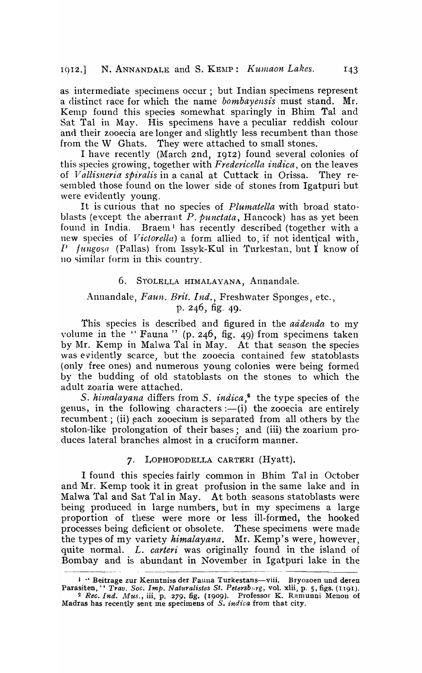as intermediate specimens occur; but Indian specimens represent a distinct race for which the name *bombayensis* must stand. Mr. Kemp found this species somewhat sparingly in Bhim Tal and Sat Tal in May. His specimens have a peculiar reddish colour and their zooecia are longer and slightly less recumbent than those from the W Ghats. They were attached to small stones.

I have recently (March 2nd, 1912) found several colonies of this species growing, together with *Fredericella indica,* on the leaves of *Vallisneria spiralis* in a canal at Cuttack in Orissa. They resembled those found on the lower side of stones from Igatpuri but were evidently young.

It is curious that no species of *Plumatella* with broad statoblasts (except the aberrant *P. punctata,* Hancock) has as yet been found in India. Braem<sup>1</sup> has recently described (together with a new species of *Victorella*) a form allied to, if not identical with, *P fungosa* (Pallas) from Issyk-Kul in Turkestan, but I know of no similar form in this country.

#### 6. STOLELLA HIMALAYANA, Annandale.

# Annandale, *Faun. Brit. Ind.,* Freshwater Sponges, etc., p. 246, fig. 49.

This species is described and figured in the *addenda* to my volume in the " Fauna " (p. 246, fig. 49) from specimens taken by Mr. Kemp in Malwa Tal in May. At that season the species was evidently scarce, but the zooecia contained few statoblasts (only free ones) and numerous young colonies were being formed by the budding of old statoblasts on the stones to which the adult zoaria were attached.

*S. hinalayana* differs from *S. indica*,<sup>2</sup> the type species of the genus, in the following characters  $:-(i)$  the zooecia are entirely recumbent; (ii) each zooecium is separated from all others by the stolon-like prolongation of their bases; and (iii) the zoarium produces lateral branches almost in a cruciform manner.

#### 7. LOPHOPODELLA CARTERI (Hyatt).

I found this species fairly common in Bhim Tal in October and Mr. Kemp took it in great profusion in the same lake and in Malwa Tal and Sat Tal in May. At both seasons statoblasts were being produced in large numbers, but in my specimens a large proportion of these were more or less ill-formed, the hooked processes being deficient or obsolete. These specimens were made the types of my variety *himalayana*. Mr. Kemp's were, however, quite normal. *L. carteri* was originally found in the island of Bombay and is abundant in November in Igatpuri lake in the

<sup>1 &</sup>quot; Beitrage zur Kenntniss der Fauna Turkestans-viii. Bryozoen und deren Parasiten, '' *Trav. Soc. Imp. Naturalistes St. Petersb*<sub>1</sub>, vol. xlii, p. 5, figs. (1191). <sup>2</sup>*Rec. Ind. Mus.,* iii, p. 279, fig. (1909). Professor K. Ramunni Menon of Madras has recently sent me specimens of *S. indica* from that city.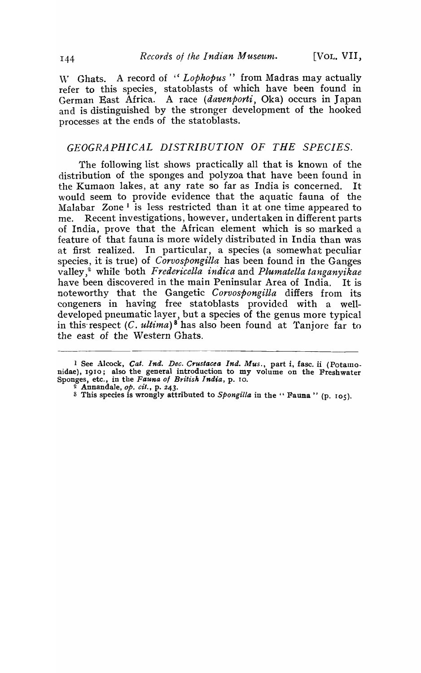\\," Ghats. A record of *"Lophopus"* from Madras may actually refer to this species, statoblasts of which have been found in German East Africa. A race *(davenporti,* Oka) occurs in Japan and is distinguished by the stronger development of the hooked processes at the ends of the statoblasts.

# *GEOGRAPHICAL DISTRIBUTION OF THE SPECIES.*

The following list shows practically all that is known of the distribution of the sponges and polyzoa that have been found in the Kumaon lakes, at any rate so far as India is concerned. It would seem to provide evidence that the aquatic fauna of the Malabar Zone<sup>1</sup> is less restricted than it at one time appeared to me. Recent investigations, however, undertaken in different parts of India, prove that the African element which is so marked a feature of that fauna is more widely distributed in India than was at first realized. In particular, a species (a somewhat peculiar species, it is true) of *Corvospongilla* has been found in the Ganges valley,<sup>2</sup> while both *Fredericella indica* and *Plumatella tanganvikae* have been discovered in the main Peninsular Area of India. It is noteworthy that the Gangetic *Corvospongilla* differs from its congeners in having free statoblasts provided with a welldeveloped pneumatic layer, but a species of the genus more typical in this-respect *(C. ultima)* 8 has also been found at Tanjore far to the east of the Western Ghats.

<sup>1</sup> See Alcock, *Cat. Ind. Dec. Ct'ustacea Ind. Mus.,* part i, fasc. ii (Potamonidae), 1910; also the general introduction to my volume on the Freshwater Sponges, etc., in the *Fauna 01 British India,* p. 10.

<sup>2</sup> AnnandaJe, *op. cit.,* p. 243.

<sup>3</sup> This species is wrongly attributed to *SpongiUa* in the" Fauna" (p. 105).